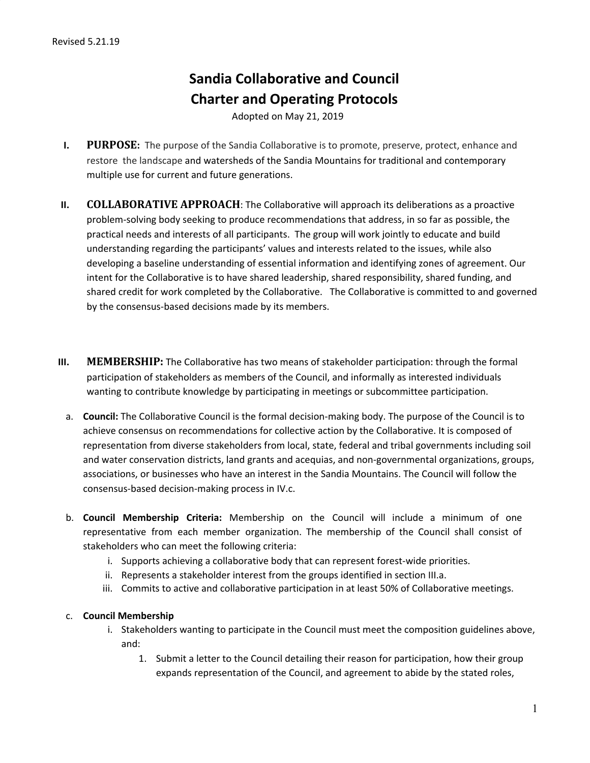# **Sandia Collaborative and Council Charter and Operating Protocols**

Adopted on May 21, 2019

- **I. PURPOSE:** The purpose of the Sandia Collaborative is to promote, preserve, protect, enhance and restore the landscape and watersheds of the Sandia Mountains for traditional and contemporary multiple use for current and future generations.
- **II. COLLABORATIVE APPROACH**: The Collaborative will approach its deliberations as a proactive problem-solving body seeking to produce recommendations that address, in so far as possible, the practical needs and interests of all participants. The group will work jointly to educate and build understanding regarding the participants' values and interests related to the issues, while also developing a baseline understanding of essential information and identifying zones of agreement. Our intent for the Collaborative is to have shared leadership, shared responsibility, shared funding, and shared credit for work completed by the Collaborative. The Collaborative is committed to and governed by the consensus-based decisions made by its members.
- **III. MEMBERSHIP:** The Collaborative has two means of stakeholder participation: through the formal participation of stakeholders as members of the Council, and informally as interested individuals wanting to contribute knowledge by participating in meetings or subcommittee participation.
	- a. **Council:** The Collaborative Council is the formal decision-making body. The purpose of the Council is to achieve consensus on recommendations for collective action by the Collaborative. It is composed of representation from diverse stakeholders from local, state, federal and tribal governments including soil and water conservation districts, land grants and acequias, and non-governmental organizations, groups, associations, or businesses who have an interest in the Sandia Mountains. The Council will follow the consensus-based decision-making process in IV.c.
	- b. **Council Membership Criteria:** Membership on the Council will include a minimum of one representative from each member organization. The membership of the Council shall consist of stakeholders who can meet the following criteria:
		- i. Supports achieving a collaborative body that can represent forest-wide priorities.
		- ii. Represents a stakeholder interest from the groups identified in section III.a.
		- iii. Commits to active and collaborative participation in at least 50% of Collaborative meetings.

#### c. **Council Membership**

- i. Stakeholders wanting to participate in the Council must meet the composition guidelines above, and:
	- 1. Submit a letter to the Council detailing their reason for participation, how their group expands representation of the Council, and agreement to abide by the stated roles,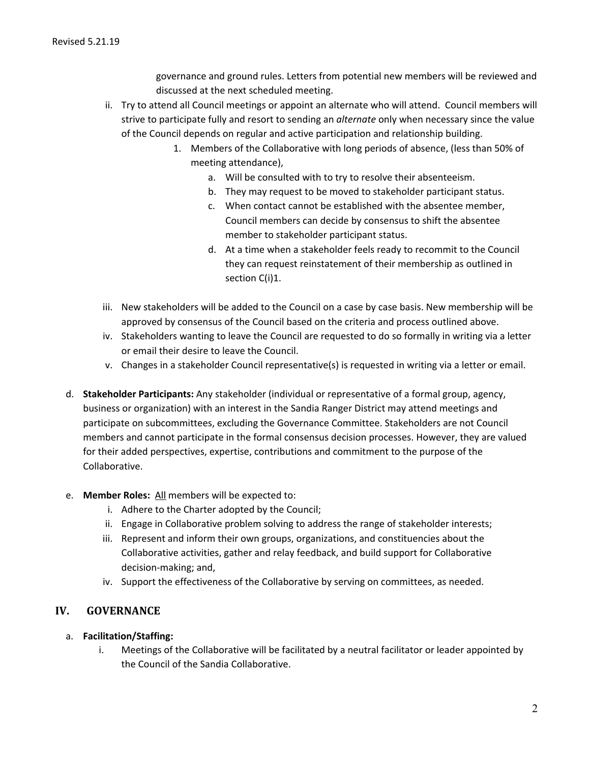governance and ground rules. Letters from potential new members will be reviewed and discussed at the next scheduled meeting.

- ii. Try to attend all Council meetings or appoint an alternate who will attend. Council members will strive to participate fully and resort to sending an *alternate* only when necessary since the value of the Council depends on regular and active participation and relationship building.
	- 1. Members of the Collaborative with long periods of absence, (less than 50% of meeting attendance),
		- a. Will be consulted with to try to resolve their absenteeism.
		- b. They may request to be moved to stakeholder participant status.
		- c. When contact cannot be established with the absentee member, Council members can decide by consensus to shift the absentee member to stakeholder participant status.
		- d. At a time when a stakeholder feels ready to recommit to the Council they can request reinstatement of their membership as outlined in section C(i)1.
- iii. New stakeholders will be added to the Council on a case by case basis. New membership will be approved by consensus of the Council based on the criteria and process outlined above.
- iv. Stakeholders wanting to leave the Council are requested to do so formally in writing via a letter or email their desire to leave the Council.
- v. Changes in a stakeholder Council representative(s) is requested in writing via a letter or email.
- d. **Stakeholder Participants:** Any stakeholder (individual or representative of a formal group, agency, business or organization) with an interest in the Sandia Ranger District may attend meetings and participate on subcommittees, excluding the Governance Committee. Stakeholders are not Council members and cannot participate in the formal consensus decision processes. However, they are valued for their added perspectives, expertise, contributions and commitment to the purpose of the Collaborative.

#### e. **Member Roles:** All members will be expected to:

- i. Adhere to the Charter adopted by the Council;
- ii. Engage in Collaborative problem solving to address the range of stakeholder interests;
- iii. Represent and inform their own groups, organizations, and constituencies about the Collaborative activities, gather and relay feedback, and build support for Collaborative decision-making; and,
- iv. Support the effectiveness of the Collaborative by serving on committees, as needed.

#### **IV. GOVERNANCE**

- a. **Facilitation/Staffing:**
	- i. Meetings of the Collaborative will be facilitated by a neutral facilitator or leader appointed by the Council of the Sandia Collaborative.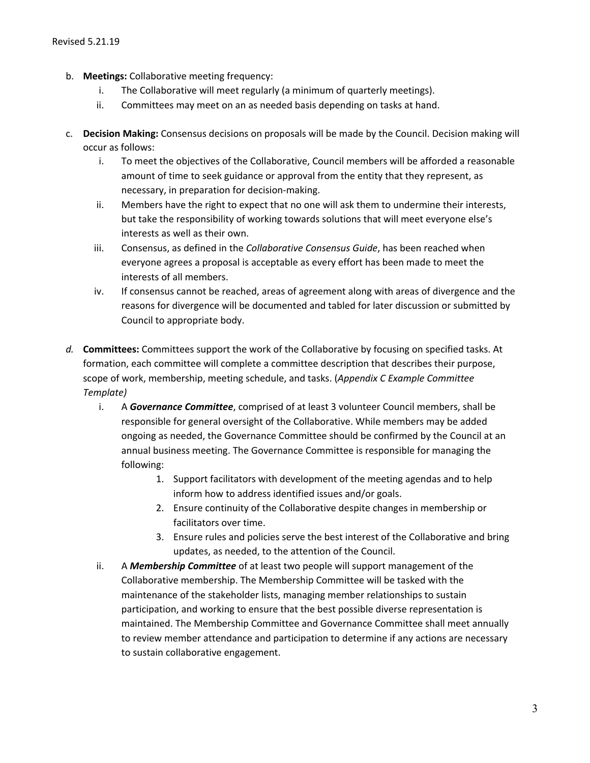- b. **Meetings:** Collaborative meeting frequency:
	- i. The Collaborative will meet regularly (a minimum of quarterly meetings).
	- ii. Committees may meet on an as needed basis depending on tasks at hand.
- c. **Decision Making:** Consensus decisions on proposals will be made by the Council. Decision making will occur as follows:
	- i. To meet the objectives of the Collaborative, Council members will be afforded a reasonable amount of time to seek guidance or approval from the entity that they represent, as necessary, in preparation for decision-making.
	- ii. Members have the right to expect that no one will ask them to undermine their interests, but take the responsibility of working towards solutions that will meet everyone else's interests as well as their own.
	- iii. Consensus, as defined in the *Collaborative Consensus Guide*, has been reached when everyone agrees a proposal is acceptable as every effort has been made to meet the interests of all members.
	- iv. If consensus cannot be reached, areas of agreement along with areas of divergence and the reasons for divergence will be documented and tabled for later discussion or submitted by Council to appropriate body.
- *d.* **Committees:** Committees support the work of the Collaborative by focusing on specified tasks. At formation, each committee will complete a committee description that describes their purpose, scope of work, membership, meeting schedule, and tasks. (*Appendix C Example Committee Template)*
	- i. A *Governance Committee*, comprised of at least 3 volunteer Council members, shall be responsible for general oversight of the Collaborative. While members may be added ongoing as needed, the Governance Committee should be confirmed by the Council at an annual business meeting. The Governance Committee is responsible for managing the following:
		- 1. Support facilitators with development of the meeting agendas and to help inform how to address identified issues and/or goals.
		- 2. Ensure continuity of the Collaborative despite changes in membership or facilitators over time.
		- 3. Ensure rules and policies serve the best interest of the Collaborative and bring updates, as needed, to the attention of the Council.
	- ii. A *Membership Committee* of at least two people will support management of the Collaborative membership. The Membership Committee will be tasked with the maintenance of the stakeholder lists, managing member relationships to sustain participation, and working to ensure that the best possible diverse representation is maintained. The Membership Committee and Governance Committee shall meet annually to review member attendance and participation to determine if any actions are necessary to sustain collaborative engagement.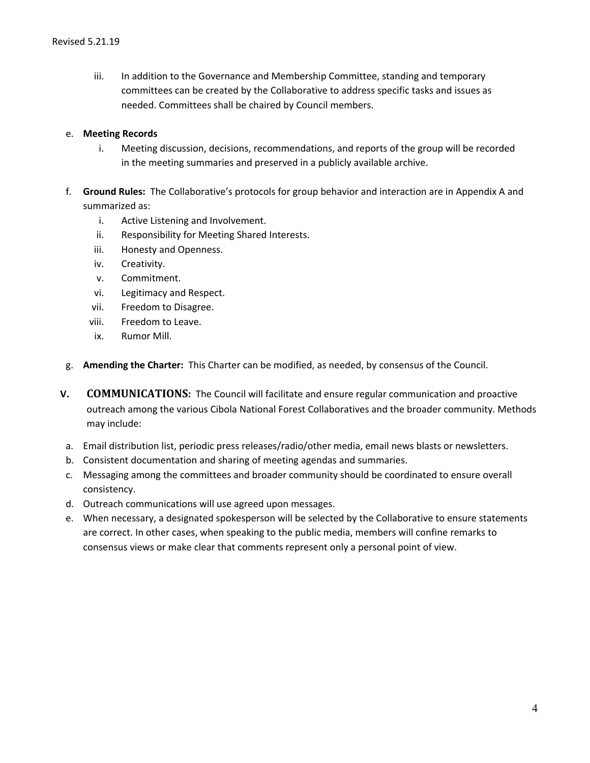iii. In addition to the Governance and Membership Committee, standing and temporary committees can be created by the Collaborative to address specific tasks and issues as needed. Committees shall be chaired by Council members.

#### e. **Meeting Records**

- i. Meeting discussion, decisions, recommendations, and reports of the group will be recorded in the meeting summaries and preserved in a publicly available archive.
- f. **Ground Rules:** The Collaborative's protocols for group behavior and interaction are in Appendix A and summarized as:
	- i. Active Listening and Involvement.
	- ii. Responsibility for Meeting Shared Interests.
	- iii. Honesty and Openness.
	- iv. Creativity.
	- v. Commitment.
	- vi. Legitimacy and Respect.
	- vii. Freedom to Disagree.
	- viii. Freedom to Leave.
	- ix. Rumor Mill.
- g. **Amending the Charter:** This Charter can be modified, as needed, by consensus of the Council.
- **V. COMMUNICATIONS:** The Council will facilitate and ensure regular communication and proactive outreach among the various Cibola National Forest Collaboratives and the broader community. Methods may include:
	- a. Email distribution list, periodic press releases/radio/other media, email news blasts or newsletters.
	- b. Consistent documentation and sharing of meeting agendas and summaries.
	- c. Messaging among the committees and broader community should be coordinated to ensure overall consistency.
	- d. Outreach communications will use agreed upon messages.
	- e. When necessary, a designated spokesperson will be selected by the Collaborative to ensure statements are correct. In other cases, when speaking to the public media, members will confine remarks to consensus views or make clear that comments represent only a personal point of view.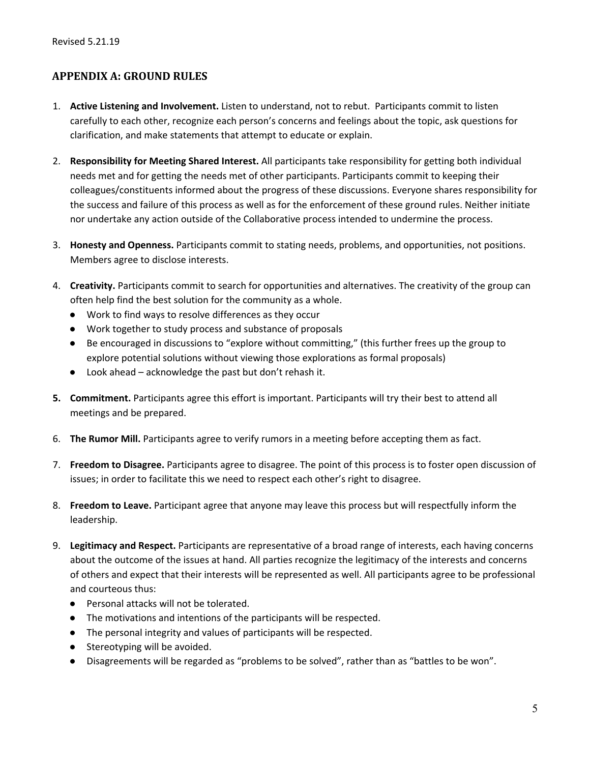# **APPENDIX A: GROUND RULES**

- 1. **Active Listening and Involvement.** Listen to understand, not to rebut. Participants commit to listen carefully to each other, recognize each person's concerns and feelings about the topic, ask questions for clarification, and make statements that attempt to educate or explain.
- 2. **Responsibility for Meeting Shared Interest.** All participants take responsibility for getting both individual needs met and for getting the needs met of other participants. Participants commit to keeping their colleagues/constituents informed about the progress of these discussions. Everyone shares responsibility for the success and failure of this process as well as for the enforcement of these ground rules. Neither initiate nor undertake any action outside of the Collaborative process intended to undermine the process.
- 3. **Honesty and Openness.** Participants commit to stating needs, problems, and opportunities, not positions. Members agree to disclose interests.
- 4. **Creativity.** Participants commit to search for opportunities and alternatives. The creativity of the group can often help find the best solution for the community as a whole.
	- Work to find ways to resolve differences as they occur
	- Work together to study process and substance of proposals
	- Be encouraged in discussions to "explore without committing," (this further frees up the group to explore potential solutions without viewing those explorations as formal proposals)
	- Look ahead acknowledge the past but don't rehash it.
- **5. Commitment.** Participants agree this effort is important. Participants will try their best to attend all meetings and be prepared.
- 6. **The Rumor Mill.** Participants agree to verify rumors in a meeting before accepting them as fact.
- 7. **Freedom to Disagree.** Participants agree to disagree. The point of this process is to foster open discussion of issues; in order to facilitate this we need to respect each other's right to disagree.
- 8. **Freedom to Leave.** Participant agree that anyone may leave this process but will respectfully inform the leadership.
- 9. **Legitimacy and Respect.** Participants are representative of a broad range of interests, each having concerns about the outcome of the issues at hand. All parties recognize the legitimacy of the interests and concerns of others and expect that their interests will be represented as well. All participants agree to be professional and courteous thus:
	- Personal attacks will not be tolerated.
	- The motivations and intentions of the participants will be respected.
	- The personal integrity and values of participants will be respected.
	- Stereotyping will be avoided.
	- Disagreements will be regarded as "problems to be solved", rather than as "battles to be won".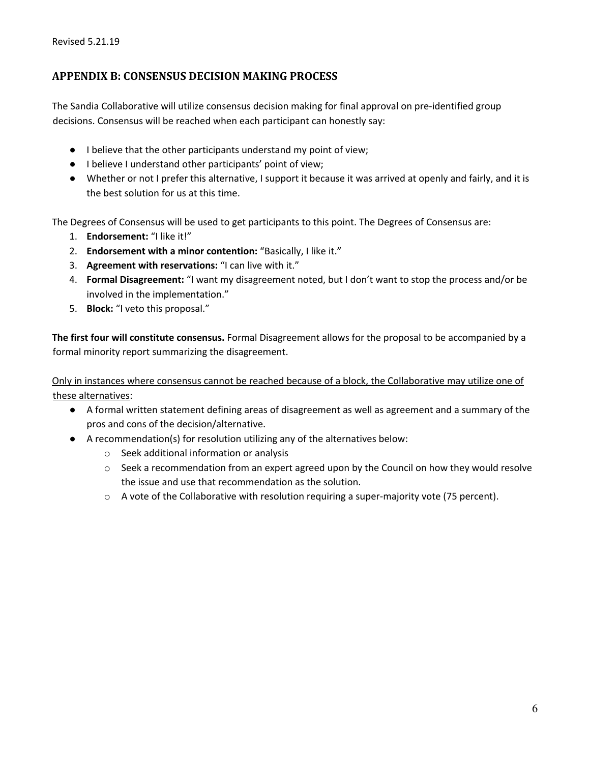### **APPENDIX B: CONSENSUS DECISION MAKING PROCESS**

The Sandia Collaborative will utilize consensus decision making for final approval on pre-identified group decisions. Consensus will be reached when each participant can honestly say:

- I believe that the other participants understand my point of view;
- I believe I understand other participants' point of view;
- Whether or not I prefer this alternative, I support it because it was arrived at openly and fairly, and it is the best solution for us at this time.

The Degrees of Consensus will be used to get participants to this point. The Degrees of Consensus are:

- 1. **Endorsement:** "I like it!"
- 2. **Endorsement with a minor contention:** "Basically, I like it."
- 3. **Agreement with reservations:** "I can live with it."
- 4. **Formal Disagreement:** "I want my disagreement noted, but I don't want to stop the process and/or be involved in the implementation."
- 5. **Block:** "I veto this proposal."

**The first four will constitute consensus.** Formal Disagreement allows for the proposal to be accompanied by a formal minority report summarizing the disagreement.

Only in instances where consensus cannot be reached because of a block, the Collaborative may utilize one of these alternatives:

- A formal written statement defining areas of disagreement as well as agreement and a summary of the pros and cons of the decision/alternative.
- A recommendation(s) for resolution utilizing any of the alternatives below:
	- o Seek additional information or analysis
	- $\circ$  Seek a recommendation from an expert agreed upon by the Council on how they would resolve the issue and use that recommendation as the solution.
	- $\circ$  A vote of the Collaborative with resolution requiring a super-majority vote (75 percent).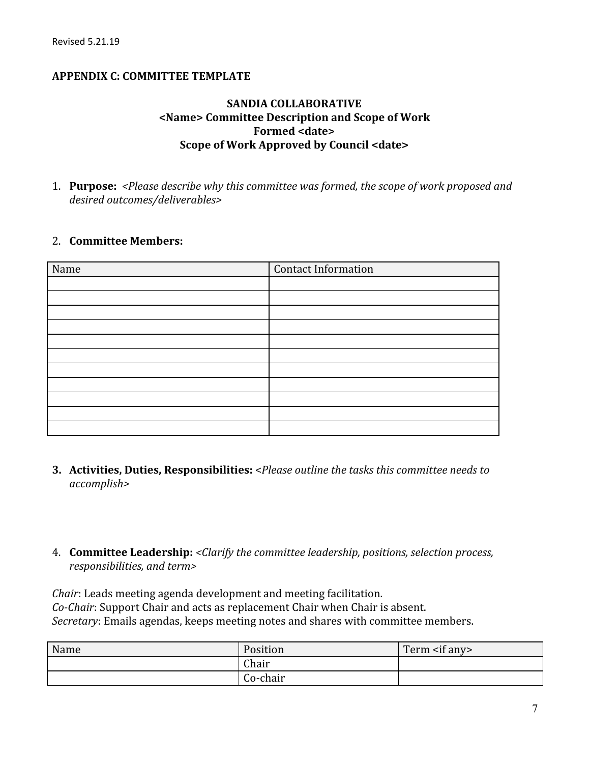## **APPENDIX C: COMMITTEE TEMPLATE**

## **SANDIA COLLABORATIVE <Name> Committee Description and Scope of Work Formed <date> Scope of Work Approved by Council <date>**

1. **Purpose:** *<Please describe why this committee was formed, the scope of work proposed and desired outcomes/deliverables>*

#### 2. **Committee Members:**

| Name | <b>Contact Information</b> |
|------|----------------------------|
|      |                            |
|      |                            |
|      |                            |
|      |                            |
|      |                            |
|      |                            |
|      |                            |
|      |                            |
|      |                            |
|      |                            |
|      |                            |

- **3. Activities, Duties, Responsibilities:** <*Please outline the tasks this committee needs to accomplish>*
- 4. **Committee Leadership:** *<Clarify the committee leadership, positions, selection process, responsibilities, and term>*

*Chair*: Leads meeting agenda development and meeting facilitation. *Co-Chair*: Support Chair and acts as replacement Chair when Chair is absent. *Secretary*: Emails agendas, keeps meeting notes and shares with committee members.

| Name | Position | Term $\leq$ if any |
|------|----------|--------------------|
|      | Chair    |                    |
|      | Co-chair |                    |